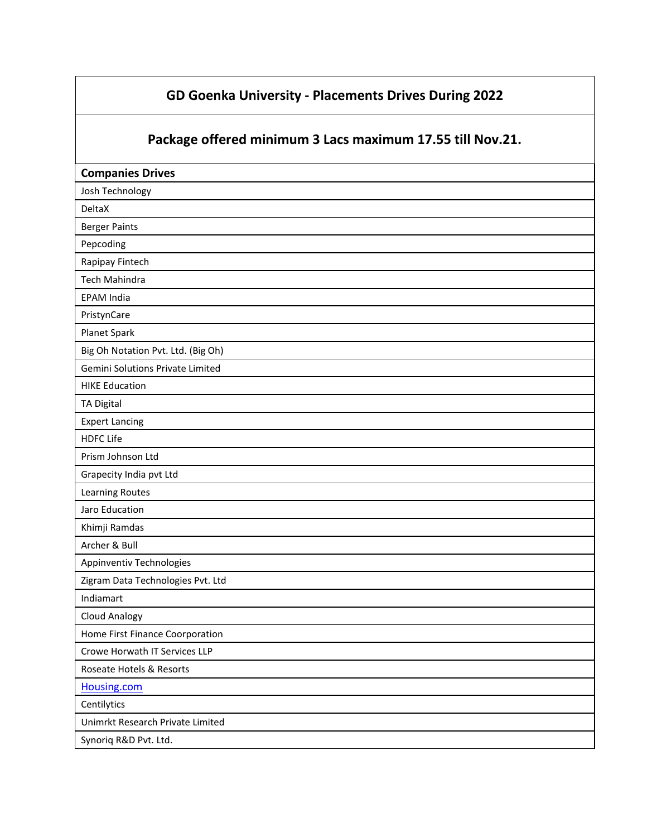## **GD Goenka University - Placements Drives During 2022**

## **Package offered minimum 3 Lacs maximum 17.55 till Nov.21.**

| <b>Companies Drives</b>            |
|------------------------------------|
| Josh Technology                    |
| DeltaX                             |
| <b>Berger Paints</b>               |
| Pepcoding                          |
| Rapipay Fintech                    |
| Tech Mahindra                      |
| <b>EPAM India</b>                  |
| PristynCare                        |
| Planet Spark                       |
| Big Oh Notation Pvt. Ltd. (Big Oh) |
| Gemini Solutions Private Limited   |
| <b>HIKE Education</b>              |
| <b>TA Digital</b>                  |
| <b>Expert Lancing</b>              |
| <b>HDFC Life</b>                   |
| Prism Johnson Ltd                  |
| Grapecity India pvt Ltd            |
| Learning Routes                    |
| Jaro Education                     |
| Khimji Ramdas                      |
| Archer & Bull                      |
| Appinventiv Technologies           |
| Zigram Data Technologies Pvt. Ltd  |
| Indiamart                          |
| <b>Cloud Analogy</b>               |
| Home First Finance Coorporation    |
| Crowe Horwath IT Services LLP      |
| Roseate Hotels & Resorts           |
| Housing.com                        |
| Centilytics                        |
| Unimrkt Research Private Limited   |
| Synoriq R&D Pvt. Ltd.              |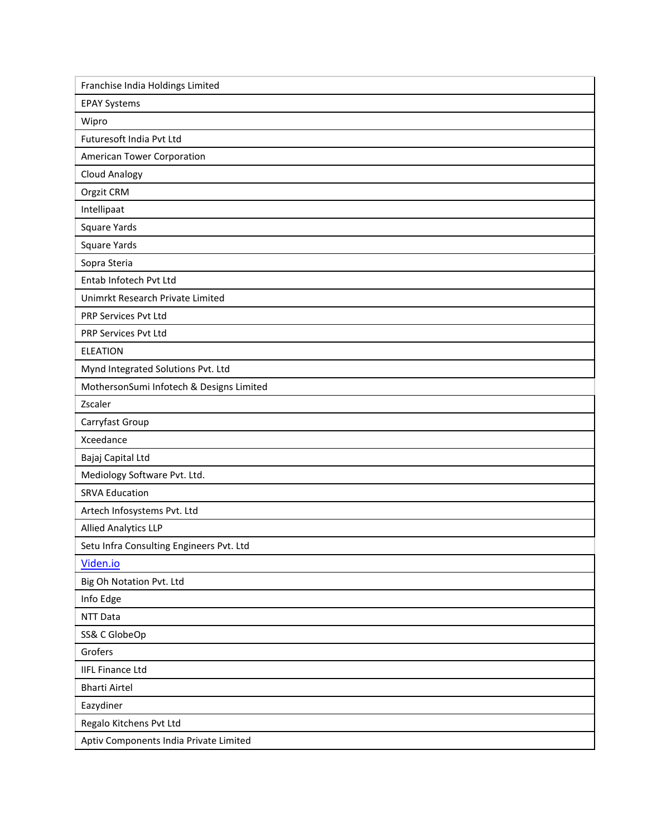| Franchise India Holdings Limited         |
|------------------------------------------|
| <b>EPAY Systems</b>                      |
| Wipro                                    |
| Futuresoft India Pvt Ltd                 |
| American Tower Corporation               |
| <b>Cloud Analogy</b>                     |
| Orgzit CRM                               |
| Intellipaat                              |
| Square Yards                             |
| Square Yards                             |
| Sopra Steria                             |
| Entab Infotech Pvt Ltd                   |
| Unimrkt Research Private Limited         |
| PRP Services Pvt Ltd                     |
| PRP Services Pvt Ltd                     |
| <b>ELEATION</b>                          |
| Mynd Integrated Solutions Pvt. Ltd       |
| MothersonSumi Infotech & Designs Limited |
| Zscaler                                  |
| Carryfast Group                          |
| Xceedance                                |
| Bajaj Capital Ltd                        |
| Mediology Software Pvt. Ltd.             |
| <b>SRVA Education</b>                    |
| Artech Infosystems Pvt. Ltd              |
| <b>Allied Analytics LLP</b>              |
| Setu Infra Consulting Engineers Pvt. Ltd |
| Viden.io                                 |
| Big Oh Notation Pvt. Ltd                 |
| Info Edge                                |
| NTT Data                                 |
| SS& C GlobeOp                            |
| Grofers                                  |
| <b>IIFL Finance Ltd</b>                  |
| <b>Bharti Airtel</b>                     |
| Eazydiner                                |
| Regalo Kitchens Pvt Ltd                  |
| Aptiv Components India Private Limited   |